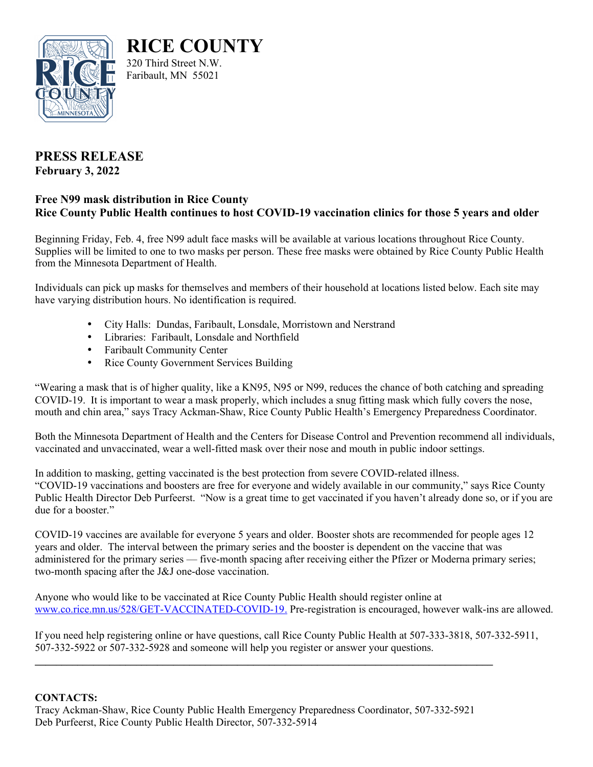

**RICE COUNTY** 320 Third Street N.W.

Faribault, MN 55021

## **PRESS RELEASE February 3, 2022**

## **Free N99 mask distribution in Rice County Rice County Public Health continues to host COVID-19 vaccination clinics for those 5 years and older**

Beginning Friday, Feb. 4, free N99 adult face masks will be available at various locations throughout Rice County. Supplies will be limited to one to two masks per person. These free masks were obtained by Rice County Public Health from the Minnesota Department of Health.

Individuals can pick up masks for themselves and members of their household at locations listed below. Each site may have varying distribution hours. No identification is required.

- City Halls: Dundas, Faribault, Lonsdale, Morristown and Nerstrand
- Libraries: Faribault, Lonsdale and Northfield
- Faribault Community Center
- Rice County Government Services Building

"Wearing a mask that is of higher quality, like a KN95, N95 or N99, reduces the chance of both catching and spreading COVID-19. It is important to wear a mask properly, which includes a snug fitting mask which fully covers the nose, mouth and chin area," says Tracy Ackman-Shaw, Rice County Public Health's Emergency Preparedness Coordinator.

Both the Minnesota Department of Health and the Centers for Disease Control and Prevention recommend all individuals, vaccinated and unvaccinated, wear a well-fitted mask over their nose and mouth in public indoor settings.

In addition to masking, getting vaccinated is the best protection from severe COVID-related illness. "COVID-19 vaccinations and boosters are free for everyone and widely available in our community," says Rice County Public Health Director Deb Purfeerst. "Now is a great time to get vaccinated if you haven't already done so, or if you are due for a booster."

COVID-19 vaccines are available for everyone 5 years and older. Booster shots are recommended for people ages 12 years and older. The interval between the primary series and the booster is dependent on the vaccine that was administered for the primary series — five-month spacing after receiving either the Pfizer or Moderna primary series; two-month spacing after the J&J one-dose vaccination.

Anyone who would like to be vaccinated at Rice County Public Health should register online at  [www.co.rice.mn.us/528/GET-VACCINATED-COVID-19](http://www.co.rice.mn.us/528/GET-VACCINATED-COVID-19). Pre-registration is encouraged, however walk-ins are allowed.

If you need help registering online or have questions, call Rice County Public Health at 507-333-3818, 507-332-5911, 507-332-5922 or 507-332-5928 and someone will help you register or answer your questions.

## **CONTACTS:**

Tracy Ackman-Shaw, Rice County Public Health Emergency Preparedness Coordinator, 507-332-5921 Deb Purfeerst, Rice County Public Health Director, 507-332-5914

**\_\_\_\_\_\_\_\_\_\_\_\_\_\_\_\_\_\_\_\_\_\_\_\_\_\_\_\_\_\_\_\_\_\_\_\_\_\_\_\_\_\_\_\_\_\_\_\_\_\_\_\_\_\_\_\_\_\_\_\_\_\_\_\_\_\_\_\_\_\_\_\_\_\_\_\_\_\_\_\_\_\_\_\_\_\_**